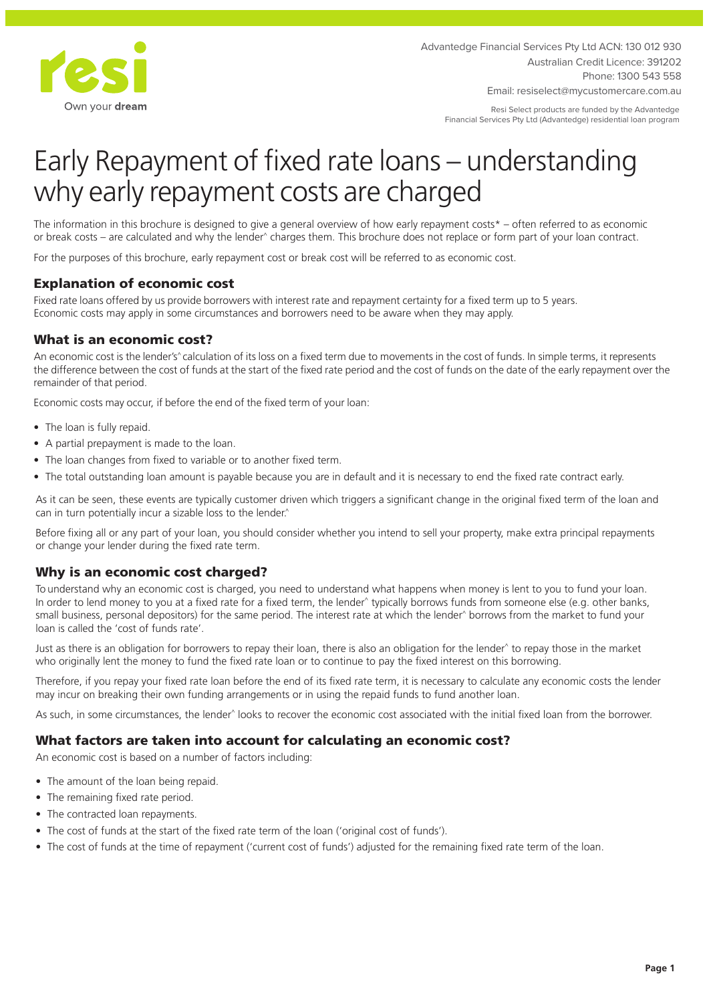

Advantedge Financial Services Pty Ltd ACN: 130 012 930 Australian Credit Licence: 391202 Phone: 1300 543 558

Email: resiselect@mycustomercare.com.au

Resi Select products are funded by the Advantedge Financial Services Pty Ltd (Advantedge) residential loan program

# Early Repayment of fixed rate loans – understanding why early repayment costs are charged

The information in this brochure is designed to give a general overview of how early repayment costs\* – often referred to as economic or break costs – are calculated and why the lender^ charges them. This brochure does not replace or form part of your loan contract.

For the purposes of this brochure, early repayment cost or break cost will be referred to as economic cost.

# Explanation of economic cost

Fixed rate loans offered by us provide borrowers with interest rate and repayment certainty for a fixed term up to 5 years. Economic costs may apply in some circumstances and borrowers need to be aware when they may apply.

## What is an economic cost?

An economic cost is the lender's<sup>\*</sup> calculation of its loss on a fixed term due to movements in the cost of funds. In simple terms, it represents the difference between the cost of funds at the start of the fixed rate period and the cost of funds on the date of the early repayment over the remainder of that period.

Economic costs may occur, if before the end of the fixed term of your loan:

- The loan is fully repaid.
- A partial prepayment is made to the loan.
- The loan changes from fixed to variable or to another fixed term.
- The total outstanding loan amount is payable because you are in default and it is necessary to end the fixed rate contract early.

As it can be seen, these events are typically customer driven which triggers a significant change in the original fixed term of the loan and can in turn potentially incur a sizable loss to the lender.<sup>^</sup>

Before fixing all or any part of your loan, you should consider whether you intend to sell your property, make extra principal repayments or change your lender during the fixed rate term.

## Why is an economic cost charged?

To understand why an economic cost is charged, you need to understand what happens when money is lent to you to fund your loan. In order to lend money to you at a fixed rate for a fixed term, the lender^ typically borrows funds from someone else (e.g. other banks, small business, personal depositors) for the same period. The interest rate at which the lender^ borrows from the market to fund your loan is called the 'cost of funds rate'.

Just as there is an obligation for borrowers to repay their loan, there is also an obligation for the lender^ to repay those in the market who originally lent the money to fund the fixed rate loan or to continue to pay the fixed interest on this borrowing.

Therefore, if you repay your fixed rate loan before the end of its fixed rate term, it is necessary to calculate any economic costs the lender may incur on breaking their own funding arrangements or in using the repaid funds to fund another loan.

As such, in some circumstances, the lender^ looks to recover the economic cost associated with the initial fixed loan from the borrower.

# What factors are taken into account for calculating an economic cost?

An economic cost is based on a number of factors including:

- The amount of the loan being repaid.
- The remaining fixed rate period.
- The contracted loan repayments.
- The cost of funds at the start of the fixed rate term of the loan ('original cost of funds').
- The cost of funds at the time of repayment ('current cost of funds') adjusted for the remaining fixed rate term of the loan.